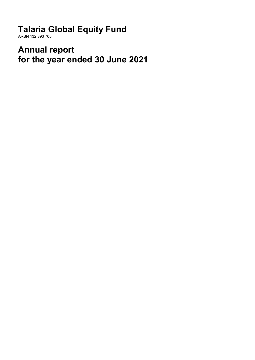**Talaria Global Equity Fund**

ARSN 132 393 705

**Annual report for the year ended 30 June 2021**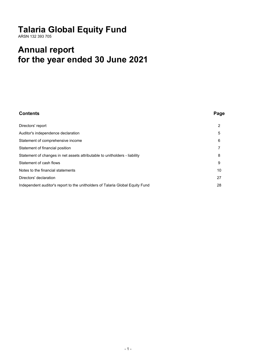# **Talaria Global Equity Fund**

ARSN 132 393 705

# **Annual report for the year ended 30 June 2021**

| <b>Contents</b>                                                               | Page |
|-------------------------------------------------------------------------------|------|
| Directors' report                                                             | 2    |
| Auditor's independence declaration                                            | 5    |
| Statement of comprehensive income                                             | 6    |
| Statement of financial position                                               |      |
| Statement of changes in net assets attributable to unitholders - liability    | 8    |
| Statement of cash flows                                                       | 9    |
| Notes to the financial statements                                             | 10   |
| Directors' declaration                                                        | 27   |
| Independent auditor's report to the unitholders of Talaria Global Equity Fund | 28   |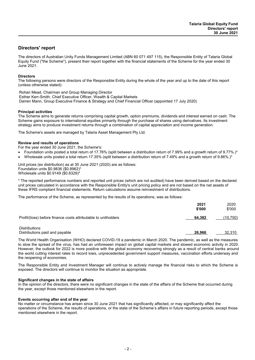### **Directors' report**

The directors of Australian Unity Funds Management Limited (ABN 60 071 497 115), the Responsible Entity of Talaria Global Equity Fund ("the Scheme"), present their report together with the financial statements of the Scheme for the year ended 30 June 2021.

### **Directors**

The following persons were directors of the Responsible Entity during the whole of the year and up to the date of this report (unless otherwise stated):

Rohan Mead, Chairman and Group Managing Director Esther Kerr-Smith, Chief Executive Officer, Wealth & Capital Markets Darren Mann, Group Executive Finance & Strategy and Chief Financial Officer (appointed 17 July 2020)

### **Principal activities**

The Scheme aims to generate returns comprising capital growth, option premiums, dividends and interest earned on cash. The Scheme gains exposure to international equities primarily through the purchase of shares using derivatives. Its investment strategy aims to produce investment returns through a combination of capital appreciation and income generation.

The Scheme's assets are managed by Talaria Asset Management Pty Ltd.

### **Review and results of operations**

For the year ended 30 June 2021, the Scheme's:

- Foundation units posted a total return of 17.76% (split between a distribution return of 7.99% and a growth return of 9.77%.)\*
- Wholesale units posted a total return 17.35% (split between a distribution return of 7.49% and a growth return of 9.86%.)\*

Unit prices (ex distribution) as at 30 June 2021 (2020) are as follows: Foundation units \$0.9836 (\$0.8962)\* Wholesale units \$0.9149 (\$0.8329)\*

\* The reported performance numbers and reported unit prices (which are not audited) have been derived based on the declared unit prices calculated in accordance with the Responsible Entity's unit pricing policy and are not based on the net assets of these IFRS compliant financial statements. Return calculations assume reinvestment of distributions.

The performance of the Scheme, as represented by the results of its operations, was as follows:

|                                                                | 2021<br>\$'000 | 2020<br>\$'000 |
|----------------------------------------------------------------|----------------|----------------|
| Profit/(loss) before finance costs attributable to unitholders | 64.382         | (10.750)       |
| Distributions<br>Distributions paid and payable                | 26.966         | 32.310         |

The World Health Organisation (WHO) declared COVID-19 a pandemic in March 2020. The pandemic, as well as the measures to slow the spread of the virus, has had an unforeseen impact on global capital markets and slowed economic activity in 2020. However, the outlook for 2022 is more positive with the global economy recovering strongly as a result of central banks around the world cutting interest rates to record lows, unprecedented government support measures, vaccination efforts underway and the reopening of economies.

The Responsible Entity and Investment Manager will continue to actively manage the financial risks to which the Scheme is exposed. The directors will continue to monitor the situation as appropriate.

### **Significant changes in the state of affairs**

In the opinion of the directors, there were no significant changes in the state of the affairs of the Scheme that occurred during the year, except those mentioned elsewhere in the report.

#### **Events occurring after end of the year**

No matter or circumstance has arisen since 30 June 2021 that has significantly affected, or may significantly affect the operations of the Scheme, the results of operations, or the state of the Scheme's affairs in future reporting periods, except those mentioned elsewhere in the report.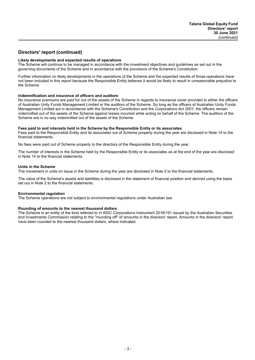### **Directors' report (continued)**

### **Likely developments and expected results of operations**

The Scheme will continue to be managed in accordance with the investment objectives and guidelines as set out in the governing documents of the Scheme and in accordance with the provisions of the Scheme's Constitution.

Further information on likely developments in the operations of the Scheme and the expected results of those operations have not been included in this report because the Responsible Entity believes it would be likely to result in unreasonable prejudice to the Scheme.

#### **Indemnification and insurance of officers and auditors**

No insurance premiums are paid for out of the assets of the Scheme in regards to insurance cover provided to either the officers of Australian Unity Funds Management Limited or the auditors of the Scheme. So long as the officers of Australian Unity Funds Management Limited act in accordance with the Scheme's Constitution and the *Corporations Act 2001*, the officers remain indemnified out of the assets of the Scheme against losses incurred while acting on behalf of the Scheme. The auditors of the Scheme are in no way indemnified out of the assets of the Scheme.

#### **Fees paid to and interests held in the Scheme by the Responsible Entity or its associates**

Fees paid to the Responsible Entity and its associates out of Scheme property during the year are disclosed in Note 14 to the financial statements.

No fees were paid out of Scheme property to the directors of the Responsible Entity during the year.

The number of interests in the Scheme held by the Responsible Entity or its associates as at the end of the year are disclosed in Note 14 to the financial statements.

#### **Units in the Scheme**

The movement in units on issue in the Scheme during the year are disclosed in Note 5 to the financial statements.

The value of the Scheme's assets and liabilities is disclosed in the statement of financial position and derived using the basis set out in Note 2 to the financial statements.

### **Environmental regulation**

The Scheme operations are not subject to environmental regulations under Australian law.

#### **Rounding of amounts to the nearest thousand dollars**

The Scheme is an entity of the kind referred to in ASIC Corporations Instrument 2016/191 issued by the Australian Securities and Investments Commission relating to the ''rounding off'' of amounts in the directors' report. Amounts in the directors' report have been rounded to the nearest thousand dollars, where indicated.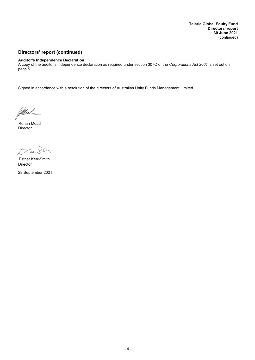### **Directors' report (continued)**

#### **Auditor's Independence Declaration**

A copy of the auditor's independence declaration as required under section 307C of the *Corporations Act 2001* is set out on page 5.

Signed in accordance with a resolution of the directors of Australian Unity Funds Management Limited.

Pillead

Director Rohan Mead

EKaS

Director Esther Kerr-Smith

28 September 2021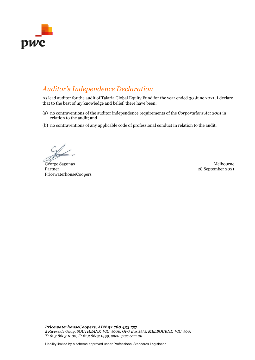

## *Auditor's Independence Declaration*

As lead auditor for the audit of Talaria Global Equity Fund for the year ended 30 June 2021, I declare that to the best of my knowledge and belief, there have been:

- (a) no contraventions of the auditor independence requirements of the *Corporations Act 2001* in relation to the audit; and
- (b) no contraventions of any applicable code of professional conduct in relation to the audit.

George Sagonas Melbourne Partner PricewaterhouseCoopers

28 September 2021

*PricewaterhouseCoopers, ABN 52 780 433 757 2 Riverside Quay, SOUTHBANK VIC 3006, GPO Box 1331, MELBOURNE VIC 3001 T: 61 3 8603 1000, F: 61 3 8603 1999, www.pwc.com.au*

Liability limited by a scheme approved under Professional Standards Legislation.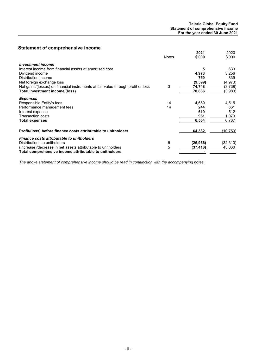### **Statement of comprehensive income**

|                                                                                  | <b>Notes</b> | 2021<br>\$'000 | 2020<br>\$'000 |
|----------------------------------------------------------------------------------|--------------|----------------|----------------|
| <b>Investment income</b>                                                         |              |                |                |
| Interest income from financial assets at amortised cost                          |              | 5              | 633            |
| Dividend income                                                                  |              | 4,973          | 3,256          |
| Distribution income                                                              |              | 759            | 839            |
| Net foreign exchange loss                                                        |              | (9, 599)       | (4, 973)       |
| Net gains/(losses) on financial instruments at fair value through profit or loss | 3            | 74,748         | (3.738)        |
| Total investment income/(loss)                                                   |              | 70,886         | <u>(3,983)</u> |
| <b>Expenses</b>                                                                  |              |                |                |
| Responsible Entity's fees                                                        | 14           | 4,680          | 4,515          |
| Performance management fees                                                      | 14           | 244            | 661            |
| Interest expense                                                                 |              | 619            | 512            |
| <b>Transaction costs</b>                                                         |              | 961            | 1.079          |
| <b>Total expenses</b>                                                            |              | 6.504          | 6.767          |
| Profit/(loss) before finance costs attributable to unitholders                   |              | 64,382         | (10, 750)      |
| <b>Finance costs attributable to unitholders</b>                                 |              |                |                |
| Distributions to unitholders                                                     | 6            | (26, 966)      | (32, 310)      |
| (Increase)/decrease in net assets attributable to unitholders                    | 5            | (37,416)       | 43.060         |
| Total comprehensive income attributable to unitholders                           |              |                |                |

*The above statement of comprehensive income should be read in conjunction with the accompanying notes.*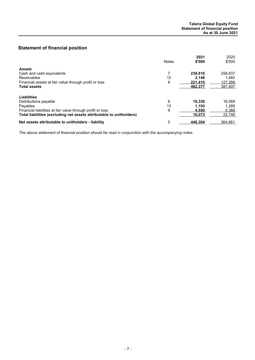### **Statement of financial position**

|                                                                      | <b>Notes</b> | 2021<br>\$'000 | 2020<br>\$'000 |
|----------------------------------------------------------------------|--------------|----------------|----------------|
| Assets                                                               |              |                |                |
| Cash and cash equivalents                                            |              | 238,816        | 258.637        |
| <b>Receivables</b>                                                   | 12           | 2.146          | 1.482          |
| Financial assets at fair value through profit or loss                | 8            | 221.415        | 127,288        |
| <b>Total assets</b>                                                  |              | 462,377        | 387.407        |
| <b>Liabilities</b>                                                   |              |                |                |
| Distributions payable                                                | 6            | 10.330         | 16.069         |
| Payables                                                             | 13           | 1.193          | 1.289          |
| Financial liabilities at fair value through profit or loss           | 9            | 4.550          | 5,388          |
| Total liabilities (excluding net assets attributable to unitholders) |              | 16,073         | 22.746         |
| Net assets attributable to unitholders - liability                   | 5            | 446.304        | 364.661        |

*The above statement of financial position should be read in conjunction with the accompanying notes.*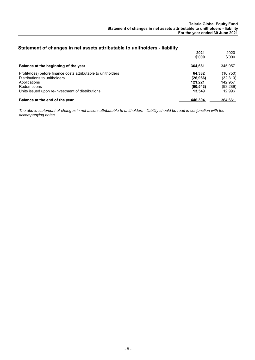### **Statement of changes in net assets attributable to unitholders - liability**

| <u>and all all all and the second will be and all the second the second second and second and second and second a</u>         | 2021<br>\$'000                              | 2020<br>\$'000                                |
|-------------------------------------------------------------------------------------------------------------------------------|---------------------------------------------|-----------------------------------------------|
| Balance at the beginning of the year                                                                                          | 364.661                                     | 345.057                                       |
| Profit/(loss) before finance costs attributable to unitholders<br>Distributions to unitholders<br>Applications<br>Redemptions | 64.382<br>(26, 966)<br>121.221<br>(90, 543) | (10,750)<br>(32, 310)<br>142.957<br>(93, 289) |
| Units issued upon re-investment of distributions                                                                              | 13.549                                      | 12.996                                        |
| Balance at the end of the year                                                                                                | 446.304                                     | 364.661                                       |

*The above statement of changes in net assets attributable to unitholders - liability should be read in conjunction with the accompanying notes.*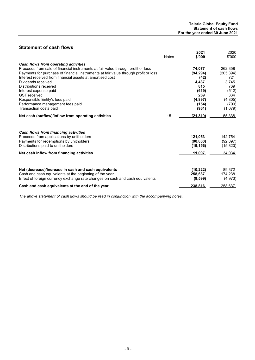### **Statement of cash flows**

|                                                                                     | <b>Notes</b> | 2021<br>\$'000 | 2020<br>\$'000 |
|-------------------------------------------------------------------------------------|--------------|----------------|----------------|
| Cash flows from operating activities                                                |              |                |                |
| Proceeds from sale of financial instruments at fair value through profit or loss    |              | 74,077         | 262,358        |
| Payments for purchase of financial instruments at fair value through profit or loss |              | (94, 294)      | (205, 394)     |
| Interest received from financial assets at amortised cost                           |              | (42)           | 721            |
| Dividends received                                                                  |              | 4,487          | 3,745          |
| Distributions received                                                              |              | 815            | 769            |
| Interest expense paid                                                               |              | (619)          | (512)          |
| <b>GST</b> received                                                                 |              | 269            | 334            |
| Responsible Entity's fees paid                                                      |              | (4,897)        | (4,805)        |
| Performance management fees paid                                                    |              | (154)          | (799)          |
| Transaction costs paid                                                              |              | (961)          | (1,079)        |
| Net cash (outflow)/inflow from operating activities                                 | 15           | (21, 319)      | 55,338         |
| <b>Cash flows from financing activities</b>                                         |              |                |                |
| Proceeds from applications by unitholders                                           |              | 121,053        | 142,754        |
| Payments for redemptions by unitholders                                             |              | (90, 800)      | (92, 897)      |
| Distributions paid to unitholders                                                   |              | (19.156)       | (15, 823)      |
| Net cash inflow from financing activities                                           |              | 11.097         | 34.034         |
|                                                                                     |              |                |                |
| Net (decrease)/increase in cash and cash equivalents                                |              | (10, 222)      | 89,372         |
| Cash and cash equivalents at the beginning of the year                              |              | 258,637        | 174,238        |
| Effect of foreign currency exchange rate changes on cash and cash equivalents       |              | (9,599)        | (4.973)        |
| Cash and cash equivalents at the end of the year                                    |              | 238,816        | 258.637        |

*The above statement of cash flows should be read in conjunction with the accompanying notes.*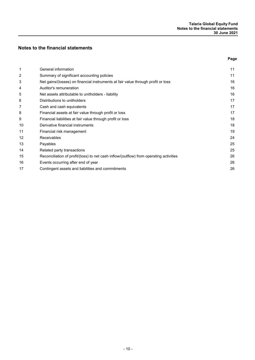### **Notes to the financial statements**

| ×<br>I<br>٠<br>×<br>$\sim$ |
|----------------------------|
|                            |

| 1  | General information                                                                    | 11 |
|----|----------------------------------------------------------------------------------------|----|
| 2  | Summary of significant accounting policies                                             | 11 |
| 3  | Net gains/(losses) on financial instruments at fair value through profit or loss       | 16 |
| 4  | Auditor's remuneration                                                                 | 16 |
| 5  | Net assets attributable to unitholders - liability                                     | 16 |
| 6  | Distributions to unitholders                                                           | 17 |
| 7  | Cash and cash equivalents                                                              | 17 |
| 8  | Financial assets at fair value through profit or loss                                  | 17 |
| 9  | Financial liabilities at fair value through profit or loss                             | 18 |
| 10 | Derivative financial instruments                                                       | 18 |
| 11 | Financial risk management                                                              | 19 |
| 12 | Receivables                                                                            | 24 |
| 13 | Payables                                                                               | 25 |
| 14 | Related party transactions                                                             | 25 |
| 15 | Reconciliation of profit/(loss) to net cash inflow/(outflow) from operating activities | 26 |
| 16 | Events occurring after end of year                                                     | 26 |
| 17 | Contingent assets and liabilities and commitments                                      | 26 |
|    |                                                                                        |    |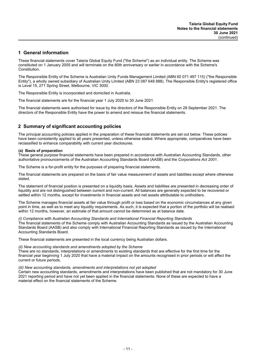### **1 General information**

These financial statements cover Talaria Global Equity Fund ("the Scheme") as an individual entity. The Scheme was constituted on 1 January 2005 and will terminate on the 80th anniversary or earlier in accordance with the Scheme's Constitution.

The Responsible Entity of the Scheme is Australian Unity Funds Management Limited (ABN 60 071 497 115) ("the Responsible Entity"), a wholly owned subsidiary of Australian Unity Limited (ABN 23 087 648 888). The Responsible Entity's registered office is Level 15, 271 Spring Street, Melbourne, VIC 3000.

The Responsible Entity is incorporated and domiciled in Australia.

The financial statements are for the financial year 1 July 2020 to 30 June 2021.

The financial statements were authorised for issue by the directors of the Responsible Entity on 28 September 2021. The directors of the Responsible Entity have the power to amend and reissue the financial statements.

### **2 Summary of significant accounting policies**

The principal accounting policies applied in the preparation of these financial statements are set out below. These policies have been consistently applied to all years presented, unless otherwise stated. Where appropriate, comparatives have been reclassified to enhance comparability with current year disclosures.

### **(a) Basis of preparation**

These general purpose financial statements have been prepared in accordance with Australian Accounting Standards, other authoritative pronouncements of the Australian Accounting Standards Board (AASB) and the *Corporations Act 2001*.

The Scheme is a for-profit entity for the purposes of preparing financial statements.

The financial statements are prepared on the basis of fair value measurement of assets and liabilities except where otherwise stated.

The statement of financial position is presented on a liquidity basis. Assets and liabilities are presented in decreasing order of liquidity and are not distinguished between current and non-current. All balances are generally expected to be recovered or settled within 12 months, except for investments in financial assets and net assets attributable to unitholders.

The Scheme manages financial assets at fair value through profit or loss based on the economic circumstances at any given point in time, as well as to meet any liquidity requirements. As such, it is expected that a portion of the portfolio will be realised within 12 months, however, an estimate of that amount cannot be determined as at balance date.

### *(i) Compliance with Australian Accounting Standards and International Financial Reporting Standards*

The financial statements of the Scheme comply with Australian Accounting Standards as issued by the Australian Accounting Standards Board (AASB) and also comply with International Financial Reporting Standards as issued by the International Accounting Standards Board.

These financial statements are presented in the local currency being Australian dollars.

### *(ii) New accounting standards and amendments adopted by the Scheme*

There are no standards, interpretations or amendments to existing standards that are effective for the first time for the financial year beginning 1 July 2020 that have a material impact on the amounts recognised in prior periods or will affect the current or future periods.

#### *(iii) New accounting standards, amendments and interpretations not yet adopted*

Certain new accounting standards, amendments and interpretations have been published that are not mandatory for 30 June 2021 reporting period and have not yet been applied in the financial statements. None of these are expected to have a material effect on the financial statements of the Scheme.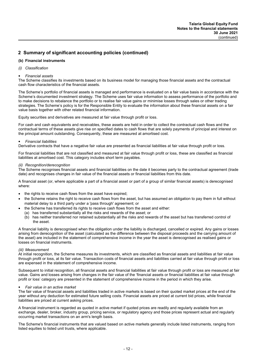### **(b) Financial instruments**

### *(i) Classification*

### *Financial assets*

The Scheme classifies its investments based on its business model for managing those financial assets and the contractual cash flow characteristics of the financial assets.

The Scheme's portfolio of financial assets is managed and performance is evaluated on a fair value basis in accordance with the Scheme's documented investment strategy. The Scheme uses fair value information to assess performance of the portfolio and to make decisions to rebalance the portfolio or to realise fair value gains or minimise losses through sales or other trading strategies. The Scheme's policy is for the Responsible Entity to evaluate the information about these financial assets on a fair value basis together with other related financial information.

Equity securities and derivatives are measured at fair value through profit or loss.

For cash and cash equivalents and receivables, these assets are held in order to collect the contractual cash flows and the contractual terms of these assets give rise on specified dates to cash flows that are solely payments of principal and interest on the principal amount outstanding. Consequently, these are measured at amortised cost.

### *Financial liabilities*

Derivative contracts that have a negative fair value are presented as financial liabilities at fair value through profit or loss.

For financial liabilities that are not classified and measured at fair value through profit or loss, these are classified as financial liabilities at amortised cost. This category includes short term payables.

#### *(ii) Recognition/derecognition*

The Scheme recognises financial assets and financial liabilities on the date it becomes party to the contractual agreement (trade date) and recognises changes in fair value of the financial assets or financial liabilities from this date.

A financial asset (or, where applicable a part of a financial asset or part of a group of similar financial assets) is derecognised where:

- the rights to receive cash flows from the asset have expired;
- the Scheme retains the right to receive cash flows from the asset, but has assumed an obligation to pay them in full without material delay to a third party under a 'pass through' agreement; or
	- the Scheme has transferred its rights to receive cash flows from the asset and either:
	- (a) has transferred substantially all the risks and rewards of the asset; or
	- (b) has neither transferred nor retained substantially all the risks and rewards of the asset but has transferred control of the asset.

A financial liability is derecognised when the obligation under the liability is discharged, cancelled or expired. Any gains or losses arising from derecognition of the asset (calculated as the difference between the disposal proceeds and the carrying amount of the asset) are included in the statement of comprehensive income in the year the asset is derecognised as realised gains or losses on financial instruments.

#### *(iii) Measurement*

At initial recognition, the Scheme measures its investments, which are classified as financial assets and liabilities at fair value through profit or loss, at its fair value. Transaction costs of financial assets and liabilities carried at fair value through profit or loss are expensed in the statement of comprehensive income.

Subsequent to initial recognition, all financial assets and financial liabilities at fair value through profit or loss are measured at fair value. Gains and losses arising from changes in the fair value of the 'financial assets or financial liabilities at fair value through profit or loss' category are presented in the statement of comprehensive income in the period in which they arise.

#### *Fair value in an active market*

The fair value of financial assets and liabilities traded in active markets is based on their quoted market prices at the end of the year without any deduction for estimated future selling costs. Financial assets are priced at current bid prices, while financial liabilities are priced at current asking prices.

A financial instrument is regarded as quoted in active market if quoted prices are readily and regularly available from an exchange, dealer, broker, industry group, pricing service, or regulatory agency and those prices represent actual and regularly occurring market transactions on an arm's length basis.

The Scheme's financial instruments that are valued based on active markets generally include listed instruments, ranging from listed equities to listed unit trusts, where applicable.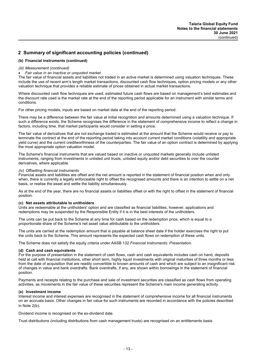### **(b) Financial instruments (continued)**

#### *(iii) Measurement (continued)*

#### *Fair value in an inactive or unquoted market*

The fair value of financial assets and liabilities not traded in an active market is determined using valuation techniques. These include the use of recent arm's length market transactions, discounted cash flow techniques, option pricing models or any other valuation technique that provides a reliable estimate of prices obtained in actual market transactions.

Where discounted cash flow techniques are used, estimated future cash flows are based on management's best estimates and the discount rate used is the market rate at the end of the reporting period applicable for an instrument with similar terms and conditions.

For other pricing models, inputs are based on market data at the end of the reporting period.

There may be a difference between the fair value at initial recognition and amounts determined using a valuation technique. If such a difference exists, the Scheme recognises the difference in the statement of comprehensive income to reflect a change in factors, including time, that market participants would consider in setting a price.

The fair value of derivatives that are not exchange traded is estimated at the amount that the Scheme would receive or pay to terminate the contract at the end of the reporting period taking into account current market conditions (volatility and appropriate yield curve) and the current creditworthiness of the counterparties. The fair value of an option contract is determined by applying the most appropriate option valuation model.

The Scheme's financial instruments that are valued based on inactive or unquoted markets generally include unlisted instruments, ranging from investments in unlisted unit trusts, unlisted equity and/or debt securities to over the counter derivatives, where applicable.

### *(iv) Offsetting financial instruments*

Financial assets and liabilities are offset and the net amount is reported in the statement of financial position when and only when, there is currently a legally enforceable right to offset the recognised amounts and there is an intention to settle on a net basis, or realise the asset and settle the liability simultaneously.

As at the end of the year, there are no financial assets or liabilities offset or with the right to offset in the statement of financial position.

#### **(c) Net assets attributable to unitholders**

Units are redeemable at the unitholders' option and are classified as financial liabilities, however, applications and redemptions may be suspended by the Responsible Entity if it is in the best interests of the unitholders.

The units can be put back to the Scheme at any time for cash based on the redemption price, which is equal to a proportionate share of the Scheme's net asset value attributable to the unitholders.

The units are carried at the redemption amount that is payable at balance sheet date if the holder exercises the right to put the units back to the Scheme. This amount represents the expected cash flows on redemption of these units.

The Scheme does not satisfy the equity criteria under AASB 132 *Financial Instruments: Presentation*.

### **(d) Cash and cash equivalents**

For the purpose of presentation in the statement of cash flows, cash and cash equivalents includes cash on hand, deposits held at call with financial institutions, other short term, highly liquid investments with original maturities of three months or less from the date of acquisition that are readily convertible to known amounts of cash and which are subject to an insignificant risk of changes in value and bank overdrafts. Bank overdrafts, if any, are shown within borrowings in the statement of financial position.

Payments and receipts relating to the purchase and sale of investment securities are classified as cash flows from operating activities, as movements in the fair value of these securities represent the Scheme's main income generating activity.

### **(e) Investment income**

Interest income and interest expenses are recognised in the statement of comprehensive income for all financial instruments on an accruals basis. Other changes in fair value for such instruments are recorded in accordance with the policies described in Note 2(b).

Dividend income is recognised on the ex-dividend date.

Trust distributions (including distributions from cash management trusts) are recognised on an entitlements basis.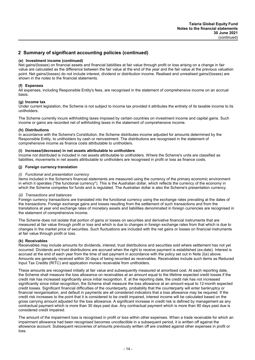### **(e) Investment income (continued)**

Net gains/(losses) on financial assets and financial liabilities at fair value through profit or loss arising on a change in fair value are calculated as the difference between the fair value at the end of the year and the fair value at the previous valuation point. Net gains/(losses) do not include interest, dividend or distribution income. Realised and unrealised gains/(losses) are shown in the notes to the financial statements.

### **(f) Expenses**

All expenses, including Responsible Entity's fees, are recognised in the statement of comprehensive income on an accrual basis.

#### **(g) Income tax**

Under current legislation, the Scheme is not subject to income tax provided it attributes the entirety of its taxable income to its unitholders.

The Scheme currently incurs withholding taxes imposed by certain countries on investment income and capital gains. Such income or gains are recorded net of withholding taxes in the statement of comprehensive income.

### **(h) Distributions**

In accordance with the Scheme's Constitution, the Scheme distributes income adjusted for amounts determined by the Responsible Entity, to unitholders by cash or reinvestment. The distributions are recognised in the statement of comprehensive income as finance costs attributable to unitholders.

### **(i) Increase/(decrease) in net assets attributable to unitholders**

Income not distributed is included in net assets attributable to unitholders. Where the Scheme's units are classified as liabilities, movements in net assets attributable to unitholders are recognised in profit or loss as finance costs.

### **(j) Foreign currency translation**

### *(i) Functional and presentation currency*

Items included in the Scheme's financial statements are measured using the currency of the primary economic environment in which it operates (''the functional currency''). This is the Australian dollar, which reflects the currency of the economy in which the Scheme competes for funds and is regulated. The Australian dollar is also the Scheme's presentation currency.

#### *(ii) Transactions and balances*

Foreign currency transactions are translated into the functional currency using the exchange rates prevailing at the dates of the transactions. Foreign exchange gains and losses resulting from the settlement of such transactions and from the translations at year end exchange rates of monetary assets and liabilities denominated in foreign currencies are recognised in the statement of comprehensive income.

The Scheme does not isolate that portion of gains or losses on securities and derivative financial instruments that are measured at fair value through profit or loss and which is due to changes in foreign exchange rates from that which is due to changes in the market price of securities. Such fluctuations are included with the net gains or losses on financial instruments at fair value through profit or loss.

#### **(k) Receivables**

Receivables may include amounts for dividends, interest, trust distributions and securities sold where settlement has not yet occurred. Dividends and trust distributions are accrued when the right to receive payment is established (ex-date). Interest is accrued at the end of each year from the time of last payment in accordance with the policy set out in Note 2(e) above. Amounts are generally received within 30 days of being recorded as receivables. Receivables include such items as Reduced Input Tax Credits (RITC) and application monies receivable from unitholders.

These amounts are recognised initially at fair value and subsequently measured at amortised cost. At each reporting date, the Scheme shall measure the loss allowance on receivables at an amount equal to the lifetime expected credit losses if the credit risk has increased significantly since initial recognition. If, at the reporting date, the credit risk has not increased significantly since initial recognition, the Scheme shall measure the loss allowance at an amount equal to 12-month expected credit losses. Significant financial difficulties of the counterparty, probability that the counterparty will enter bankruptcy or financial reorganisation, and default in payments are all considered indicators that a loss allowance may be required. If the credit risk increases to the point that it is considered to be credit impaired, interest income will be calculated based on the gross carrying amount adjusted for the loss allowance. A significant increase in credit risk is defined by management as any contractual payment which is more than 30 days past due. Any contractual payment which is more than 90 days past due is considered credit impaired.

The amount of the impairment loss is recognised in profit or loss within other expenses. When a trade receivable for which an impairment allowance had been recognised becomes uncollectible in a subsequent period, it is written off against the allowance account. Subsequent recoveries of amounts previously written off are credited against other expenses in profit or loss.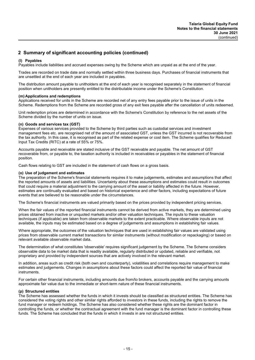### **(l) Payables**

Payables include liabilities and accrued expenses owing by the Scheme which are unpaid as at the end of the year.

Trades are recorded on trade date and normally settled within three business days. Purchases of financial instruments that are unsettled at the end of each year are included in payables.

The distribution amount payable to unitholders at the end of each year is recognised separately in the statement of financial position when unitholders are presently entitled to the distributable income under the Scheme's Constitution.

#### **(m) Applications and redemptions**

Applications received for units in the Scheme are recorded net of any entry fees payable prior to the issue of units in the Scheme. Redemptions from the Scheme are recorded gross of any exit fees payable after the cancellation of units redeemed.

Unit redemption prices are determined in accordance with the Scheme's Constitution by reference to the net assets of the Scheme divided by the number of units on issue.

#### **(n) Goods and services tax (GST)**

Expenses of various services provided to the Scheme by third parties such as custodial services and investment management fees etc. are recognised net of the amount of associated GST, unless the GST incurred is not recoverable from the tax authority. In this case, it is recognised as part of the related expense or cost item. The Scheme qualifies for Reduced Input Tax Credits (RITC) at a rate of 55% or 75%.

Accounts payable and receivable are stated inclusive of the GST receivable and payable. The net amount of GST recoverable from, or payable to, the taxation authority is included in receivables or payables in the statement of financial position.

Cash flows relating to GST are included in the statement of cash flows on a gross basis.

### **(o) Use of judgement and estimates**

The preparation of the Scheme's financial statements requires it to make judgements, estimates and assumptions that affect the reported amounts of assets and liabilities. Uncertainty about these assumptions and estimates could result in outcomes that could require a material adjustment to the carrying amount of the asset or liability affected in the future. However, estimates are continually evaluated and based on historical experience and other factors, including expectations of future events that are believed to be reasonable under the circumstances.

The Scheme's financial instruments are valued primarily based on the prices provided by independent pricing services.

When the fair values of the reported financial instruments cannot be derived from active markets, they are determined using prices obtained from inactive or unquoted markets and/or other valuation techniques. The inputs to these valuation techniques (if applicable) are taken from observable markets to the extent practicable. Where observable inputs are not available, the inputs may be estimated based on a degree of judgements and assumptions in establishing fair values.

Where appropriate, the outcomes of the valuation techniques that are used in establishing fair values are validated using prices from observable current market transactions for similar instruments (without modification or repackaging) or based on relevant available observable market data.

The determination of what constitutes 'observable' requires significant judgement by the Scheme. The Scheme considers observable data to be market data that is readily available, regularly distributed or updated, reliable and verifiable, not proprietary and provided by independent sources that are actively involved in the relevant market.

In addition, areas such as credit risk (both own and counterparty), volatilities and correlations require management to make estimates and judgements. Changes in assumptions about these factors could affect the reported fair value of financial instruments.

For certain other financial instruments, including amounts due from/to brokers, accounts payable and the carrying amounts approximate fair value due to the immediate or short-term nature of these financial instruments.

#### **(p) Structured entities**

The Scheme has assessed whether the funds in which it invests should be classified as structured entities. The Scheme has considered the voting rights and other similar rights afforded to investors in these funds, including the rights to remove the fund manager or redeem holdings. The Scheme has also considered whether these rights are the dominant factor in controlling the funds, or whether the contractual agreement with the fund manager is the dominant factor in controlling these funds. The Scheme has concluded that the funds in which it invests in are not structured entities.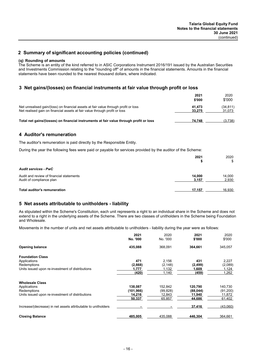### **(q) Rounding of amounts**

The Scheme is an entity of the kind referred to in ASIC Corporations Instrument 2016/191 issued by the Australian Securities and Investments Commission relating to the ''rounding off'' of amounts in the financial statements. Amounts in the financial statements have been rounded to the nearest thousand dollars, where indicated.

### **3 Net gains/(losses) on financial instruments at fair value through profit or loss**

|                                                                                                                                                                   | 2021<br>\$'000   | 2020<br>\$'000      |
|-------------------------------------------------------------------------------------------------------------------------------------------------------------------|------------------|---------------------|
| Net unrealised gain/(loss) on financial assets at fair value through profit or loss<br>Net realised gain on financial assets at fair value through profit or loss | 41.473<br>33.275 | (34, 811)<br>31,073 |
| Total net gains/(losses) on financial instruments at fair value through profit or loss                                                                            | 74.748           | (3.738)             |

### **4 Auditor's remuneration**

The auditor's remuneration is paid directly by the Responsible Entity.

During the year the following fees were paid or payable for services provided by the auditor of the Scheme:

|                                                                      | 2021            | 2020<br>\$      |
|----------------------------------------------------------------------|-----------------|-----------------|
| <b>Audit services - PwC</b>                                          |                 |                 |
| Audit and review of financial statements<br>Audit of compliance plan | 14.000<br>3,157 | 14,000<br>2,930 |
| <b>Total auditor's remuneration</b>                                  | 17,157          | 16,930          |

### **5 Net assets attributable to unitholders - liability**

As stipulated within the Scheme's Constitution, each unit represents a right to an individual share in the Scheme and does not extend to a right in the underlying assets of the Scheme. There are two classes of unitholders in the Scheme being Foundation and Wholesale.

Movements in the number of units and net assets attributable to unitholders - liability during the year were as follows:

|                                                               | 2021<br>No. '000 | 2020<br>No. '000 | 2021<br>\$'000 | 2020<br>\$'000 |
|---------------------------------------------------------------|------------------|------------------|----------------|----------------|
| <b>Opening balance</b>                                        | 435,088          | 368,091          | 364,661        | 345,057        |
| <b>Foundation Class</b>                                       |                  |                  |                |                |
| Applications                                                  | 471              | 2,156            | 431            | 2,227          |
| Redemptions                                                   | (2,668)          | (2, 148)         | (2, 499)       | (2,089)        |
| Units issued upon re-investment of distributions              | 1,777            | 1,132            | 1,609          | 1,124          |
|                                                               | (420)            | 1,140            | (459)          | 1,262          |
| <b>Wholesale Class</b>                                        |                  |                  |                |                |
| Applications                                                  | 138,087          | 152,842          | 120,790        | 140,730        |
| Redemptions                                                   | (101, 966)       | (99, 828)        | (88, 044)      | (91, 200)      |
| Units issued upon re-investment of distributions              | 14.216           | 12.843           | 11,940         | 11,872         |
|                                                               | 50,337           | 65,857           | 44,686         | 61,402         |
| Increase/(decrease) in net assets attributable to unitholders |                  |                  | 37,416         | (43,060)       |
| <b>Closing Balance</b>                                        | 485,005          | 435,088          | 446,304        | 364,661        |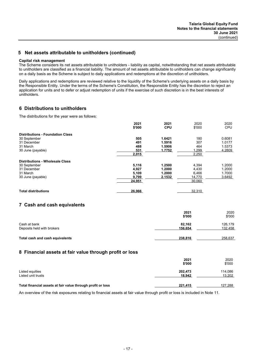### **5 Net assets attributable to unitholders (continued)**

#### **Capital risk management**

The Scheme considers its net assets attributable to unitholders - liability as capital, notwithstanding that net assets attributable to unitholders are classified as a financial liability. The amount of net assets attributable to unitholders can change significantly on a daily basis as the Scheme is subject to daily applications and redemptions at the discretion of unitholders.

Daily applications and redemptions are reviewed relative to the liquidity of the Scheme's underlying assets on a daily basis by the Responsible Entity. Under the terms of the Scheme's Constitution, the Responsible Entity has the discretion to reject an application for units and to defer or adjust redemption of units if the exercise of such discretion is in the best interests of unitholders.

### **6 Distributions to unitholders**

The distributions for the year were as follows:

| 2021<br>\$'000 | 2021<br><b>CPU</b>                              | 2020<br>\$'000   | 2020<br><b>CPU</b>             |
|----------------|-------------------------------------------------|------------------|--------------------------------|
|                |                                                 |                  |                                |
| 505            | 1.6421                                          | 180              | 0.6081                         |
| 491            | 1.5916                                          | 307              | 1.0177                         |
|                |                                                 |                  | 1.5373                         |
|                |                                                 |                  | 4.2809                         |
| 2,015          |                                                 | 2,250            |                                |
|                |                                                 |                  |                                |
|                | 1.2500                                          | 4,394            | 1.2000                         |
|                | 1.2000                                          |                  | 1.2000                         |
|                | 1.2000                                          | 6.466            | 1.7000                         |
| 9,799          | 2.1532                                          | 14.770           | 3.6492                         |
| 24,951         |                                                 | 30,060           |                                |
|                |                                                 |                  |                                |
|                | 488<br>531<br>5,116<br>4,927<br>5,109<br>26,966 | 1.5906<br>1.7752 | 464<br>.299<br>4,430<br>32,310 |

### **7 Cash and cash equivalents**

|                                 | 2021<br>\$'000 | 2020<br>\$'000 |
|---------------------------------|----------------|----------------|
| Cash at bank                    | 82.162         | 126,179        |
| Deposits held with brokers      | 156,654        | 132,458        |
| Total cash and cash equivalents | 238,816        | 258,637        |

### **8 Financial assets at fair value through profit or loss**

|                                                             | 2021<br>\$'000    | 2020<br>\$'000    |
|-------------------------------------------------------------|-------------------|-------------------|
| Listed equities<br>Listed unit trusts                       | 202,473<br>18,942 | 114,086<br>13,202 |
| Total financial assets at fair value through profit or loss | 221,415           | 127,288           |

An overview of the risk exposures relating to financial assets at fair value through profit or loss is included in Note 11.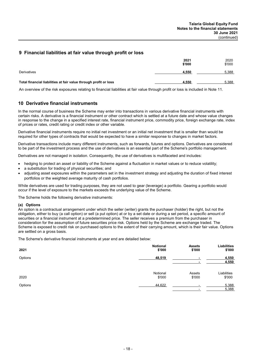### **9 Financial liabilities at fair value through profit or loss**

|                                                                  | 2021<br>\$'000 | 2020<br>\$'000 |
|------------------------------------------------------------------|----------------|----------------|
| Derivatives                                                      | 4,550          | 5,388          |
| Total financial liabilities at fair value through profit or loss | 4,550          | 5,388          |

An overview of the risk exposures relating to financial liabilities at fair value through profit or loss is included in Note 11.

### **10 Derivative financial instruments**

In the normal course of business the Scheme may enter into transactions in various derivative financial instruments with certain risks. A derivative is a financial instrument or other contract which is settled at a future date and whose value changes in response to the change in a specified interest rate, financial instrument price, commodity price, foreign exchange rate, index of prices or rates, credit rating or credit index or other variable.

Derivative financial instruments require no initial net investment or an initial net investment that is smaller than would be required for other types of contracts that would be expected to have a similar response to changes in market factors.

Derivative transactions include many different instruments, such as forwards, futures and options. Derivatives are considered to be part of the investment process and the use of derivatives is an essential part of the Scheme's portfolio management.

Derivatives are not managed in isolation. Consequently, the use of derivatives is multifaceted and includes:

- hedging to protect an asset or liability of the Scheme against a fluctuation in market values or to reduce volatility;
- a substitution for trading of physical securities; and
- adjusting asset exposures within the parameters set in the investment strategy and adjusting the duration of fixed interest portfolios or the weighted average maturity of cash portfolios.

While derivatives are used for trading purposes, they are not used to gear (leverage) a portfolio. Gearing a portfolio would occur if the level of exposure to the markets exceeds the underlying value of the Scheme.

The Scheme holds the following derivative instruments:

#### **(a) Options**

An option is a contractual arrangement under which the seller (writer) grants the purchaser (holder) the right, but not the obligation, either to buy (a call option) or sell (a put option) at or by a set date or during a set period, a specific amount of securities or a financial instrument at a predetermined price. The seller receives a premium from the purchaser in consideration for the assumption of future securities price risk. Options held by the Scheme are exchange traded. The Scheme is exposed to credit risk on purchased options to the extent of their carrying amount, which is their fair value. Options are settled on a gross basis.

The Scheme's derivative financial instruments at year end are detailed below:

| 2021    | <b>Notional</b> | <b>Assets</b> | Liabilities    |
|---------|-----------------|---------------|----------------|
|         | \$'000          | \$'000        | \$'000         |
| Options | 48,519          |               | 4,550<br>4.550 |
| 2020    | Notional        | Assets        | Liabilities    |
|         | \$'000          | \$'000        | \$'000         |
| Options | 44,622          |               | 5,388<br>5,388 |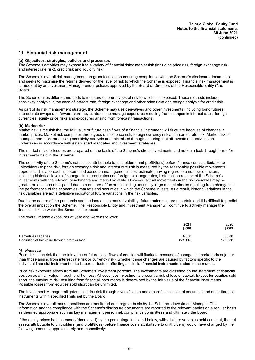### **11 Financial risk management**

#### **(a) Objectives, strategies, policies and processes**

The Scheme's activities may expose it to a variety of financial risks: market risk (including price risk, foreign exchange risk and interest rate risk), credit risk and liquidity risk.

The Scheme's overall risk management program focuses on ensuring compliance with the Scheme's disclosure documents and seeks to maximise the returns derived for the level of risk to which the Scheme is exposed. Financial risk management is carried out by an Investment Manager under policies approved by the Board of Directors of the Responsible Entity (''the Board'').

The Scheme uses different methods to measure different types of risk to which it is exposed. These methods include sensitivity analysis in the case of interest rate, foreign exchange and other price risks and ratings analysis for credit risk.

As part of its risk management strategy, the Scheme may use derivatives and other investments, including bond futures, interest rate swaps and forward currency contracts, to manage exposures resulting from changes in interest rates, foreign currencies, equity price risks and exposures arising from forecast transactions.

#### **(b) Market risk**

Market risk is the risk that the fair value or future cash flows of a financial instrument will fluctuate because of changes in market prices. Market risk comprises three types of risk: price risk, foreign currency risk and interest rate risk. Market risk is managed and monitored using sensitivity analysis and minimised through ensuring that all investment activities are undertaken in accordance with established mandates and investment strategies.

The market risk disclosures are prepared on the basis of the Scheme's direct investments and not on a look through basis for investments held in the Scheme.

The sensitivity of the Scheme's net assets attributable to unitholders (and profit/(loss) before finance costs attributable to unitholders) to price risk, foreign exchange risk and interest rate risk is measured by the reasonably possible movements approach. This approach is determined based on management's best estimate, having regard to a number of factors, including historical levels of changes in interest rates and foreign exchange rates, historical correlation of the Scheme's investments with the relevant benchmarks and market volatility. However, actual movements in the risk variables may be greater or less than anticipated due to a number of factors, including unusually large market shocks resulting from changes in the performance of the economies, markets and securities in which the Scheme invests. As a result, historic variations in the risk variables are not a definitive indicator of future variations in the risk variables.

Due to the nature of the pandemic and the increase in market volatility, future outcomes are uncertain and it is difficult to predict the overall impact on the Scheme. The Responsible Entity and Investment Manager will continue to actively manage the financial risks to which the Scheme is exposed.

The overall market exposures at year end were as follows:

|                                                 | 2021<br>\$'000 | 2020<br>\$'000 |
|-------------------------------------------------|----------------|----------------|
| Derivatives liabilities                         | (4,550)        | (5,388)        |
| Securities at fair value through profit or loss | 221,415        | 127,288        |

#### *(i) Price risk*

Price risk is the risk that the fair value or future cash flows of equities will fluctuate because of changes in market prices (other than those arising from interest rate risk or currency risk), whether those changes are caused by factors specific to the individual financial instrument or its issuer, or factors affecting all similar financial instruments traded in the market.

Price risk exposure arises from the Scheme's investment portfolio. The investments are classified on the statement of financial position as at fair value through profit or loss. All securities investments present a risk of loss of capital. Except for equities sold short, the maximum risk resulting from financial instruments is determined by the fair value of the financial instruments. Possible losses from equities sold short can be unlimited.

The Investment Manager mitigates this price risk through diversification and a careful selection of securities and other financial instruments within specified limits set by the Board.

The Scheme's overall market positions are monitored on a regular basis by the Scheme's Investment Manager. This information and the compliance with the Scheme's disclosure documents are reported to the relevant parties on a regular basis as deemed appropriate such as key management personnel, compliance committees and ultimately the Board.

If the equity prices had increased/(decreased) by the percentage indicated below, with all other variables held constant, the net assets attributable to unitholders (and profit/(loss) before finance costs attributable to unitholders) would have changed by the following amounts, approximately and respectively: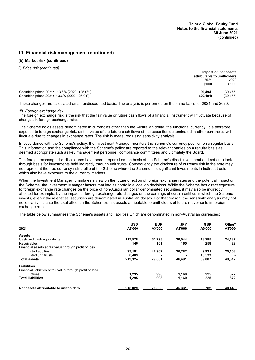### **(b) Market risk (continued)**

*(i) Price risk (continued)*

|                                               | Impact on net assets        |          |  |
|-----------------------------------------------|-----------------------------|----------|--|
|                                               | attributable to unitholders |          |  |
|                                               | 2021                        | 2020     |  |
|                                               | \$'000                      | \$'000   |  |
| Securities prices 2021: +13.6% (2020: +25.0%) | 29.494                      | 30.475   |  |
| Securities prices 2021: -13.6% (2020: -25.0%) | (29.494)                    | (30.475) |  |

These changes are calculated on an undiscounted basis. The analysis is performed on the same basis for 2021 and 2020.

#### *(ii) Foreign exchange risk*

The foreign exchange risk is the risk that the fair value or future cash flows of a financial instrument will fluctuate because of changes in foreign exchange rates.

The Scheme holds assets denominated in currencies other than the Australian dollar, the functional currency. It is therefore exposed to foreign exchange risk, as the value of the future cash flows of the securities denominated in other currencies will fluctuate due to changes in exchange rates. The risk is measured using sensitivity analysis.

In accordance with the Scheme's policy, the Investment Manager monitors the Scheme's currency position on a regular basis. This information and the compliance with the Scheme's policy are reported to the relevant parties on a regular basis as deemed appropriate such as key management personnel, compliance committees and ultimately the Board.

The foreign exchange risk disclosures have been prepared on the basis of the Scheme's direct investment and not on a look through basis for investments held indirectly through unit trusts. Consequently the disclosure of currency risk in the note may not represent the true currency risk profile of the Scheme where the Scheme has significant investments in indirect trusts which also have exposure to the currency markets.

When the Investment Manager formulates a view on the future direction of foreign exchange rates and the potential impact on the Scheme, the Investment Manager factors that into its portfolio allocation decisions. While the Scheme has direct exposure to foreign exchange rate changes on the price of non-Australian dollar denominated securities, it may also be indirectly affected for example, by the impact of foreign exchange rate changes on the earnings of certain entities in which the Scheme invests, even if those entities' securities are denominated in Australian dollars. For that reason, the sensitivity analysis may not necessarily indicate the total effect on the Scheme's net assets attributable to unitholders of future movements in foreign exchange rates.

The table below summarises the Scheme's assets and liabilities which are denominated in non-Australian currencies:

| 2021                                                       | <b>USD</b><br>A\$'000 | <b>EUR</b><br>A\$'000 | <b>JPY</b><br>A\$'000 | <b>GBP</b><br>A\$'000 | Other*<br>A\$'000 |
|------------------------------------------------------------|-----------------------|-----------------------|-----------------------|-----------------------|-------------------|
| <b>Assets</b>                                              |                       |                       |                       |                       |                   |
| Cash and cash equivalents                                  | 117,578               | 31,793                | 20.044                | 18,285                | 24,187            |
| Receivables                                                | 146                   | 101                   | 165                   | 258                   | 22                |
| Financial assets at fair value through profit or loss      |                       |                       |                       |                       |                   |
| Listed equities                                            | 93.191                | 47.967                | 26.282                | 9.931                 | 25,103            |
| Listed unit trusts                                         | 8.409                 |                       |                       | 10,533                |                   |
| <b>Total assets</b>                                        | 219,324               | 79,861                | 46,491                | 39,007                | 49,312            |
| <b>Liabilities</b>                                         |                       |                       |                       |                       |                   |
| Financial liabilities at fair value through profit or loss |                       |                       |                       |                       |                   |
| Options                                                    | 1.295                 | 998                   | 1,160                 | 225                   | 872               |
| <b>Total liabilities</b>                                   | 1,295                 | 998                   | 1,160                 | 225                   | 872               |
| Net assets attributable to unitholders                     | 218,029               | 78,863                | 45,331                | 38,782                | 48.440            |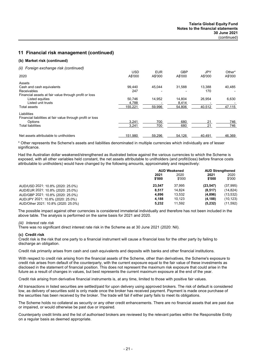### **(b) Market risk (continued)**

#### *(ii) Foreign exchange risk (continued)*

|                                                            | <b>USD</b> | <b>EUR</b> | <b>GBP</b> | JPY     | Other*  |
|------------------------------------------------------------|------------|------------|------------|---------|---------|
| 2020                                                       | A\$'000    | A\$'000    | A\$'000    | A\$'000 | A\$'000 |
| Assets                                                     |            |            |            |         |         |
| Cash and cash equivalents                                  | 99.440     | 45.044     | 31.588     | 13.388  | 40.485  |
| Receivables                                                | 247        |            |            | 170     |         |
| Financial assets at fair value through profit or loss      |            |            |            |         |         |
| Listed equities                                            | 50.746     | 14.952     | 14.804     | 26.954  | 6,630   |
| Listed unit trusts                                         | 4,788      |            | 8,414      |         |         |
| Total assets                                               | 155,221    | 59,996     | 54,806     | 40,512  | 47,115  |
| Liabilities                                                |            |            |            |         |         |
| Financial liabilities at fair value through profit or loss |            |            |            |         |         |
| Options                                                    | 3.241      | 700        | 680        | 21      | 746     |
| <b>Total liabilities</b>                                   | 3.241      | 700        | 680        | 21      | 746     |
| Net assets attributable to unitholders                     | 151,980    | 59,296     | 54,126     | 40.491  | 46,369  |

\* Other represents the Scheme's assets and liabilities denominated in multiple currencies which individually are of lesser significance.

Had the Australian dollar weakened/strengthened as illustrated below against the various currencies to which the Scheme is exposed, with all other variables held constant, the net assets attributable to unitholders (and profit/(loss) before finance costs attributable to unitholders) would have changed by the following amounts, approximately and respectively:

|                                     | <b>AUD Weakened</b> |        | <b>AUD Strengthened</b> |           |
|-------------------------------------|---------------------|--------|-------------------------|-----------|
|                                     | 2021                | 2020   | 2021                    | 2020      |
|                                     | \$'000              | \$'000 | \$'000                  | \$'000    |
| AUD/USD 2021: 10.8% (2020: 25.0%)   | 23.547              | 37.995 | (23, 547)               | (37, 995) |
| AUD/EUR 2021: 10.8% (2020: 25.0%)   | 8.517               | 14.824 | (8,517)                 | (14, 824) |
| AUD/GBP 2021: 10.8% (2020: 25.0%)   | 4.896               | 13.532 | (4,896)                 | (13, 532) |
| AUD/JPY 2021: 10.8% (2020: 25.0%)   | 4.188               | 10.123 | (4, 188)                | (10, 123) |
| AUD/Other 2021: 10.8% (2020: 25.0%) | 5.232               | 11.592 | (5,232)                 | (11, 592) |

The possible impact against other currencies is considered immaterial individually and therefore has not been included in the above table. The analysis is performed on the same basis for 2021 and 2020.

### *(iii) Interest rate risk*

There was no significant direct interest rate risk in the Scheme as at 30 June 2021 (2020: Nil).

#### **(c) Credit risk**

Credit risk is the risk that one party to a financial instrument will cause a financial loss for the other party by failing to discharge an obligation.

Credit risk primarily arises from cash and cash equivalents and deposits with banks and other financial institutions.

With respect to credit risk arising from the financial assets of the Scheme, other than derivatives, the Scheme's exposure to credit risk arises from default of the counterparty, with the current exposure equal to the fair value of these investments as disclosed in the statement of financial position. This does not represent the maximum risk exposure that could arise in the future as a result of changes in values, but best represents the current maximum exposure at the end of the year.

Credit risk arising from derivative financial instruments is, at any time, limited to those with positive fair values.

All transactions in listed securities are settled/paid for upon delivery using approved brokers. The risk of default is considered low, as delivery of securities sold is only made once the broker has received payment. Payment is made once purchase of the securities has been received by the broker. The trade will fail if either party fails to meet its obligations.

The Scheme holds no collateral as security or any other credit enhancements. There are no financial assets that are past due or impaired, or would otherwise be past due or impaired.

Counterparty credit limits and the list of authorised brokers are reviewed by the relevant parties within the Responsible Entity on a regular basis as deemed appropriate.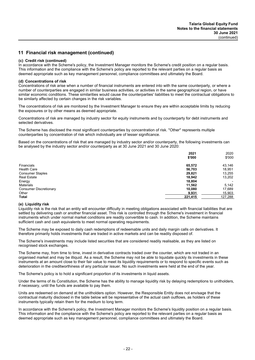### **(c) Credit risk (continued)**

In accordance with the Scheme's policy, the Investment Manager monitors the Scheme's credit position on a regular basis. This information and the compliance with the Scheme's policy are reported to the relevant parties on a regular basis as deemed appropriate such as key management personnel, compliance committees and ultimately the Board.

### **(d) Concentrations of risk**

Concentrations of risk arise when a number of financial instruments are entered into with the same counterparty, or where a number of counterparties are engaged in similar business activities, or activities in the same geographical region, or have similar economic conditions. These similarities would cause the counterparties' liabilities to meet the contractual obligations to be similarly affected by certain changes in the risk variables.

The concentrations of risk are monitored by the Investment Manager to ensure they are within acceptable limits by reducing the exposures or by other means as deemed appropriate.

Concentrations of risk are managed by industry sector for equity instruments and by counterparty for debt instruments and selected derivatives.

The Scheme has disclosed the most significant counterparties by concentration of risk. ''Other'' represents multiple counterparties by concentration of risk which individually are of lesser significance.

Based on the concentrations of risk that are managed by industry sector and/or counterparty, the following investments can be analysed by the industry sector and/or counterparty as at 30 June 2021 and 30 June 2020:

|                               | 2021    | 2020                     |
|-------------------------------|---------|--------------------------|
|                               | \$'000  | \$'000                   |
| Financials                    | 65,572  | 43,146                   |
| <b>Health Care</b>            | 56,703  | 18,951                   |
| <b>Consumer Staples</b>       | 29,821  | 13,255                   |
| <b>Real Estate</b>            | 18,942  | 13,202                   |
| Energy                        | 18,804  | $\overline{\phantom{0}}$ |
| <b>Materials</b>              | 11,562  | 5,142                    |
| <b>Consumer Discretionary</b> | 10,080  | 17,689                   |
| Other                         | 9,931   | 15,903                   |
| <b>Total</b>                  | 221,415 | 127,288                  |

#### **(e) Liquidity risk**

Liquidity risk is the risk that an entity will encounter difficulty in meeting obligations associated with financial liabilities that are settled by delivering cash or another financial asset. This risk is controlled through the Scheme's investment in financial instruments which under normal market conditions are readily convertible to cash. In addition, the Scheme maintains sufficient cash and cash equivalents to meet normal operating requirements.

The Scheme may be exposed to daily cash redemptions of redeemable units and daily margin calls on derivatives. It therefore primarily holds investments that are traded in active markets and can be readily disposed of.

The Scheme's investments may include listed securities that are considered readily realisable, as they are listed on recognised stock exchanges.

The Scheme may, from time to time, invest in derivative contracts traded over the counter, which are not traded in an organised market and may be illiquid. As a result, the Scheme may not be able to liquidate quickly its investments in these instruments at an amount close to their fair value to meet its liquidity requirements or to respond to specific events such as deterioration in the creditworthiness of any particular issuer. No such investments were held at the end of the year.

The Scheme's policy is to hold a significant proportion of its investments in liquid assets.

Under the terms of its Constitution, the Scheme has the ability to manage liquidity risk by delaying redemptions to unitholders, if necessary, until the funds are available to pay them.

Units are redeemed on demand at the unitholders option. However, the Responsible Entity does not envisage that the contractual maturity disclosed in the table below will be representative of the actual cash outflows, as holders of these instruments typically retain them for the medium to long term.

In accordance with the Scheme's policy, the Investment Manager monitors the Scheme's liquidity position on a regular basis. This information and the compliance with the Scheme's policy are reported to the relevant parties on a regular basis as deemed appropriate such as key management personnel, compliance committees and ultimately the Board.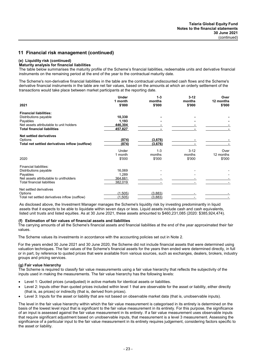### **(e) Liquidity risk (continued)**

#### **Maturity analysis for financial liabilities**

The table below summarises the maturity profile of the Scheme's financial liabilities, redeemable units and derivative financial instruments on the remaining period at the end of the year to the contractual maturity date.

The Scheme's non-derivative financial liabilities in the table are the contractual undiscounted cash flows and the Scheme's derivative financial instruments in the table are net fair values, based on the amounts at which an orderly settlement of the transactions would take place between market participants at the reporting date.

|                                                | Under   | $1 - 3$ | $3 - 12$ | Over      |
|------------------------------------------------|---------|---------|----------|-----------|
|                                                | 1 month | months  | months   | 12 months |
| 2021                                           | \$'000  | \$'000  | \$'000   | \$'000    |
| <b>Financial liabilities:</b>                  |         |         |          |           |
| Distributions payable                          | 10,330  |         |          |           |
| Payables                                       | 1,193   |         |          |           |
| Net assets attributable to unit holders        | 446,304 |         |          |           |
| <b>Total financial liabilities</b>             | 457,827 |         |          |           |
| <b>Net settled derivatives</b>                 |         |         |          |           |
| Options                                        | (874)   | (3,676) |          |           |
| Total net settled derivatives inflow (outflow) | (874)   | (3,676) |          |           |
|                                                | Under   | $1 - 3$ | $3 - 12$ | Over      |
|                                                | 1 month | months  | months   | 12 months |
| 2020                                           | \$'000  | \$'000  | \$'000   | \$'000    |
| Financial liabilities:                         |         |         |          |           |
| Distributions payable                          | 16,069  |         |          |           |
| Payables                                       | 1,289   |         |          |           |
| Net assets attributable to unitholders         | 364,661 |         |          |           |
| <b>Total financial liabilities</b>             | 382,019 |         |          |           |
| Net settled derivatives                        |         |         |          |           |
| Options                                        | (1.505) | (3.883) |          |           |
| Total net settled derivatives inflow (outflow) | (1,505) | (3,883) |          |           |

As disclosed above, the Investment Manager manages the Scheme's liquidity risk by investing predominantly in liquid assets that it expects to be able to liquidate within seven days or less. Liquid assets include cash and cash equivalents, listed unit trusts and listed equities. As at 30 June 2021, these assets amounted to \$460,231,085 (2020: \$385,924,474).

#### **(f) Estimation of fair values of financial assets and liabilities**

The carrying amounts of all the Scheme's financial assets and financial liabilities at the end of the year approximated their fair values.

The Scheme values its investments in accordance with the accounting policies set out in Note 2.

For the years ended 30 June 2021 and 30 June 2020, the Scheme did not include financial assets that were determined using valuation techniques. The fair values of the Scheme's financial assets for the years then ended were determined directly, in full or in part, by reference to quoted prices that were available from various sources, such as exchanges, dealers, brokers, industry groups and pricing services.

### **(g) Fair value hierarchy**

The Scheme is required to classify fair value measurements using a fair value hierarchy that reflects the subjectivity of the inputs used in making the measurements. The fair value hierarchy has the following levels:

- Level 1: Quoted prices (unadjusted) in active markets for identical assets or liabilities.
- Level 2: Inputs other than quoted prices included within level 1 that are observable for the asset or liability, either directly (that is, as prices) or indirectly (that is, derived from prices).
- Level 3: Inputs for the asset or liability that are not based on observable market data (that is, unobservable inputs).

The level in the fair value hierarchy within which the fair value measurement is categorised in its entirety is determined on the basis of the lowest level input that is significant to the fair value measurement in its entirety. For this purpose, the significance of an input is assessed against the fair value measurement in its entirety. If a fair value measurement uses observable inputs that require significant adjustment based on unobservable inputs, that measurement is a level 3 measurement. Assessing the significance of a particular input to the fair value measurement in its entirety requires judgement, considering factors specific to the asset or liability.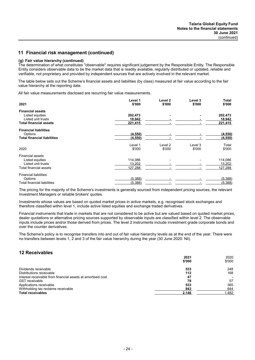### **(g) Fair value hierarchy (continued)**

The determination of what constitutes ''observable'' requires significant judgement by the Responsible Entity. The Responsible Entity considers observable data to be the market data that is readily available, regularly distributed or updated, reliable and verifiable, not proprietary and provided by independent sources that are actively involved in the relevant market.

The table below sets out the Scheme's financial assets and liabilities (by class) measured at fair value according to the fair value hierarchy at the reporting date.

All fair value measurements disclosed are recurring fair value measurements.

|                                    | Level 1  | Level 2 | Level 3 | Total   |
|------------------------------------|----------|---------|---------|---------|
| 2021                               | \$'000   | \$'000  | \$'000  | \$'000  |
| <b>Financial assets</b>            |          |         |         |         |
| Listed equities                    | 202,473  |         |         | 202,473 |
| Listed unit trusts                 | 18,942   |         |         | 18,942  |
| <b>Total financial assets</b>      | 221,415  |         |         | 221,415 |
| <b>Financial liabilities</b>       |          |         |         |         |
| Options                            | (4,550)  |         |         | (4,550) |
| <b>Total financial liabilities</b> | (4, 550) |         |         | (4,550) |
|                                    | Level 1  | Level 2 | Level 3 | Total   |
| 2020                               | \$'000   | \$'000  | \$'000  | \$'000  |
| <b>Financial assets</b>            |          |         |         |         |
| Listed equities                    | 114,086  |         |         | 114,086 |
| Listed unit trusts                 | 13,202   |         |         | 13,202  |
| Total financial assets             | 127,288  |         |         | 127,288 |
| <b>Financial liabilities</b>       |          |         |         |         |
| Options                            | (5,388)  |         |         | (5,388) |
| <b>Total financial liabilities</b> | (5,388)  |         |         | (5,388) |

The pricing for the majority of the Scheme's investments is generally sourced from independent pricing sources, the relevant Investment Managers or reliable brokers' quotes.

Investments whose values are based on quoted market prices in active markets, e.g. recognised stock exchanges and therefore classified within level 1, include active listed equities and exchange traded derivatives.

Financial instruments that trade in markets that are not considered to be active but are valued based on quoted market prices, dealer quotations or alternative pricing sources supported by observable inputs are classified within level 2. The observable inputs include prices and/or those derived from prices. The level 2 instruments include investment grade corporate bonds and over the counter derivatives.

The Scheme's policy is to recognise transfers into and out of fair value hierarchy levels as at the end of the year. There were no transfers between levels 1, 2 and 3 of the fair value hierarchy during the year (30 June 2020: Nil).

### **12 Receivables**

|                                                             | 2021   | 2020   |
|-------------------------------------------------------------|--------|--------|
|                                                             | \$'000 | \$'000 |
| Dividends receivable                                        | 533    | 248    |
| Distributions receivable                                    | 112    | 168    |
| Interest receivable from financial assets at amortised cost | 47     |        |
| <b>GST</b> receivable                                       | 78     | 57     |
| Applications receivable                                     | 533    | 365    |
| Withholding tax reclaims receivable                         | 843    | 644    |
| <b>Total receivables</b>                                    | 2.146  | 1.482  |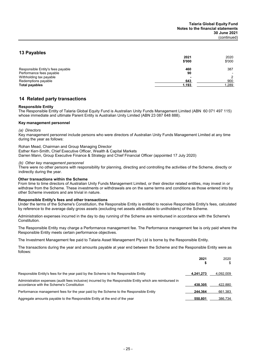### **13 Payables**

|                                   | 2021<br>\$'000 | 2020<br>\$'000 |
|-----------------------------------|----------------|----------------|
| Responsible Entity's fees payable | 460            | 387            |
| Performance fees payable          | 90             |                |
| Withholding tax payable           |                |                |
| Redemptions payable               | 643            | 900            |
| <b>Total payables</b>             | 1,193          | 1,289          |

### **14 Related party transactions**

### **Responsible Entity**

The Responsible Entity of Talaria Global Equity Fund is Australian Unity Funds Management Limited (ABN 60 071 497 115) whose immediate and ultimate Parent Entity is Australian Unity Limited (ABN 23 087 648 888).

#### **Key management personnel**

#### *(a) Directors*

Key management personnel include persons who were directors of Australian Unity Funds Management Limited at any time during the year as follows:

Rohan Mead, Chairman and Group Managing Director Esther Kerr-Smith, Chief Executive Officer, Wealth & Capital Markets Darren Mann, Group Executive Finance & Strategy and Chief Financial Officer (appointed 17 July 2020)

#### *(b) Other key management personnel*

There were no other persons with responsibility for planning, directing and controlling the activities of the Scheme, directly or indirectly during the year.

### **Other transactions within the Scheme**

From time to time directors of Australian Unity Funds Management Limited, or their director related entities, may invest in or withdraw from the Scheme. These investments or withdrawals are on the same terms and conditions as those entered into by other Scheme investors and are trivial in nature.

#### **Responsible Entity's fees and other transactions**

Under the terms of the Scheme's Constitution, the Responsible Entity is entitled to receive Responsible Entity's fees, calculated by reference to the average daily gross assets (excluding net assets attributable to unitholders) of the Scheme.

Administration expenses incurred in the day to day running of the Scheme are reimbursed in accordance with the Scheme's Constitution.

The Responsible Entity may charge a Performance management fee. The Performance management fee is only paid where the Responsible Entity meets certain performance objectives.

The Investment Management fee paid to Talaria Asset Management Pty Ltd is borne by the Responsible Entity.

The transactions during the year and amounts payable at year end between the Scheme and the Responsible Entity were as follows:

|                                                                                                                                                        | 2021      | 2020      |
|--------------------------------------------------------------------------------------------------------------------------------------------------------|-----------|-----------|
| Responsible Entity's fees for the year paid by the Scheme to the Responsible Entity                                                                    | 4.241.273 | 4.092.009 |
| Administration expenses (audit fees inclusive) incurred by the Responsible Entity which are reimbursed in<br>accordance with the Scheme's Constitution | 438.305   | 422.880   |
| Performance management fees for the year paid by the Scheme to the Responsible Entity                                                                  | 244.364   | 661,383   |
| Aggregate amounts payable to the Responsible Entity at the end of the year                                                                             | 550.801   | 386.734   |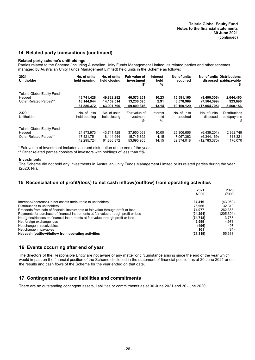### **14 Related party transactions (continued)**

### **Related party scheme's unitholdings**

Parties related to the Scheme (including Australian Unity Funds Management Limited, its related parties and other schemes managed by Australian Unity Funds Management Limited) held units in the Scheme as follows:

| 2021<br><b>Unitholder</b>    | No. of units<br>held opening | No. of units<br>held closing | Fair value of<br>investment<br>\$* | <b>Interest</b><br>held<br>% | No. of units<br>acquired |                          | No. of units Distributions<br>disposed paid/payable |
|------------------------------|------------------------------|------------------------------|------------------------------------|------------------------------|--------------------------|--------------------------|-----------------------------------------------------|
| Talaria Global Equity Fund - | 43.741.428                   | 49.832.282                   | 46.573.251                         | 10.23                        | 15,581,160               | (9,490,306)              | 2,644,460                                           |
| Hedged                       | 18.144.944                   | 14,159,514                   | 13,236,595                         | 2.91                         | 3,578,969                | (7, 564, 399)            | 923,696                                             |
| Other Related Parties**      | 61,886,372                   | 63,991,796                   | 59.809.846                         | 13.14                        | 19.160.129               | (17, 054, 705)           | 3,568,156                                           |
| 2020<br>Unitholder           | No. of units<br>held opening | No. of units<br>held closing | Fair value of<br>investment<br>\$* | Interest<br>held<br>$\%$     | No. of units<br>acquired | No. of units<br>disposed | <b>Distributions</b><br>paid/payable<br>\$          |
| Talaria Global Equity Fund - | 24.873.973                   | 43.741.428                   | 37.950.063                         | 10.00                        | 25.306.656               | (6,439,201)              | 2,862,749                                           |
| Hedged                       | 17.421.751                   | 18.144.944                   | 15.745.892                         | 4.15                         | 7.067.362                | (6.344.169)              | 1.313.321                                           |
| Other Related Parties**      | 42,295,724                   | 61,886,372                   | 53,695,955                         | 14.15                        | 32,374,018               | (12,783,370)             | 4,176,070                                           |

\* Fair value of investment includes accrued distribution at the end of the year.

\*\* Other related parties consists of investors with holdings of less than 5%.

#### **Investments**

The Scheme did not hold any investments in Australian Unity Funds Management Limited or its related parties during the year (2020: Nil).

### **15 Reconciliation of profit/(loss) to net cash inflow/(outflow) from operating activities**

|                                                                                     | 2021      | 2020      |
|-------------------------------------------------------------------------------------|-----------|-----------|
|                                                                                     | \$'000    | \$'000    |
| Increase/(decrease) in net assets attributable to unitholders                       | 37.416    | (43,060)  |
| Distributions to unitholders                                                        | 26.966    | 32.310    |
| Proceeds from sale of financial instruments at fair value through profit or loss    | 74.077    | 262.358   |
| Payments for purchase of financial instruments at fair value through profit or loss | (94.294)  | (205,394) |
| Net (gains)/losses on financial instruments at fair value through profit or loss    | (74, 748) | 3.738     |
| Net foreign exchange loss                                                           | 9.599     | 4.973     |
| Net change in receivables                                                           | (496)     | 497       |
| Net change in payables                                                              | 161       | (84)      |
| Net cash (outflow)/inflow from operating activities                                 | (21, 319) | 55,338    |

### **16 Events occurring after end of year**

The directors of the Responsible Entity are not aware of any matter or circumstance arising since the end of the year which would impact on the financial position of the Scheme disclosed in the statement of financial position as at 30 June 2021 or on the results and cash flows of the Scheme for the year ended on that date.

### **17 Contingent assets and liabilities and commitments**

There are no outstanding contingent assets, liabilities or commitments as at 30 June 2021 and 30 June 2020.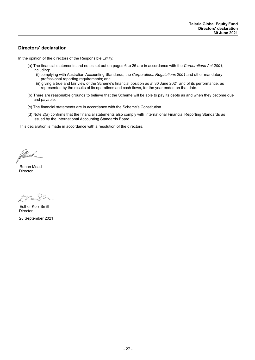### **Directors' declaration**

In the opinion of the directors of the Responsible Entity:

- (a) The financial statements and notes set out on pages 6 to 26 are in accordance with the *Corporations Act 2001*, including:
	- (i) complying with Australian Accounting Standards, the *Corporations Regulations 2001* and other mandatory professional reporting requirements; and
	- (ii) giving a true and fair view of the Scheme's financial position as at 30 June 2021 and of its performance, as represented by the results of its operations and cash flows, for the year ended on that date.
- (b) There are reasonable grounds to believe that the Scheme will be able to pay its debts as and when they become due and payable.
- (c) The financial statements are in accordance with the Scheme's Constitution.
- (d) Note 2(a) confirms that the financial statements also comply with International Financial Reporting Standards as issued by the International Accounting Standards Board.

This declaration is made in accordance with a resolution of the directors.

Allead

Director Rohan Mead

Franco

**Director** 28 September 2021 Esther Kerr-Smith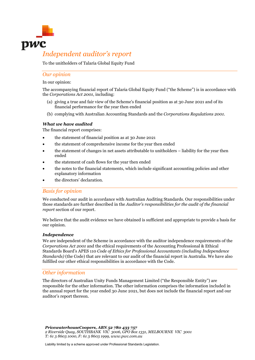

## *Independent auditor's report*

To the unitholders of Talaria Global Equity Fund

### *Our opinion*

In our opinion:

The accompanying financial report of Talaria Global Equity Fund ("the Scheme") is in accordance with the *Corporations Act 2001*, including:

- (a) giving a true and fair view of the Scheme's financial position as at 30 June 2021 and of its financial performance for the year then ended
- (b) complying with Australian Accounting Standards and the *Corporations Regulations 2001*.

### *What we have audited*

The financial report comprises:

- the statement of financial position as at 30 June 2021
- the statement of comprehensive income for the year then ended
- the statement of changes in net assets attributable to unitholders liability for the year then ended
- the statement of cash flows for the year then ended
- the notes to the financial statements, which include significant accounting policies and other explanatory information
- the directors' declaration.

### *Basis for opinion*

We conducted our audit in accordance with Australian Auditing Standards. Our responsibilities under those standards are further described in the *Auditor's responsibilities for the audit of the financial report* section of our report.

We believe that the audit evidence we have obtained is sufficient and appropriate to provide a basis for our opinion.

### *Independence*

We are independent of the Scheme in accordance with the auditor independence requirements of the *Corporations Act 2001* and the ethical requirements of the Accounting Professional & Ethical Standards Board's APES 110 *Code of Ethics for Professional Accountants (including Independence Standards)* (the Code) that are relevant to our audit of the financial report in Australia. We have also fulfilled our other ethical responsibilities in accordance with the Code.

### *Other information*

The directors of Australian Unity Funds Management Limited ("the Responsible Entity") are responsible for the other information. The other information comprises the information included in the annual report for the year ended 30 June 2021, but does not include the financial report and our auditor's report thereon.

*PricewaterhouseCoopers, ABN 52 780 433 757 2 Riverside Quay, SOUTHBANK VIC 3006, GPO Box 1331, MELBOURNE VIC 3001 T: 61 3 8603 1000, F: 61 3 8603 1999, www.pwc.com.au*

Liability limited by a scheme approved under Professional Standards Legislation.